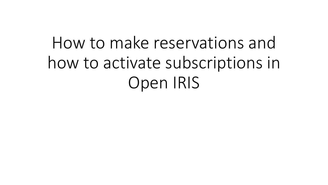## How to make reservations and how to activate subscriptions in Open IRIS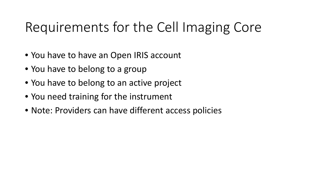## Requirements for the Cell Imaging Core

- You have to have an Open IRIS account
- You have to belong to a group
- You have to belong to an active project
- You need training for the instrument
- Note: Providers can have different access policies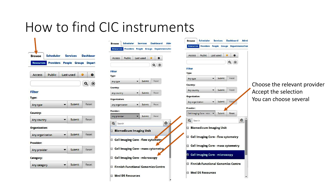## How to find CIC instruments

| <b>Browse</b> | Scheduler Services Dashboar              |  |  |
|---------------|------------------------------------------|--|--|
|               | Resources Providers People Groups Depart |  |  |



### **Filter**

| Any type |  | Submit | Reset |  |
|----------|--|--------|-------|--|
|----------|--|--------|-------|--|

| Any country | Submit |  |
|-------------|--------|--|
|             |        |  |

### **Organization:**

| Any organization | $\blacksquare$ | Submit |  |
|------------------|----------------|--------|--|
|                  |                |        |  |

#### **Provider:**

| Any provider        | Submit |  |  |  |
|---------------------|--------|--|--|--|
| and the property of |        |  |  |  |

#### Category:

| Any category |  | Submit |  |
|--------------|--|--------|--|
|--------------|--|--------|--|

| <b>Resources</b>                                    | <b>Providers People Groups Departments/Ins</b>                           |           |   |                        |   |
|-----------------------------------------------------|--------------------------------------------------------------------------|-----------|---|------------------------|---|
| Access                                              | Public                                                                   | Last used |   | ۰                      |   |
| <b>Filter</b><br>Type:<br>Any type                  |                                                                          | Submit    | Q | $\circledast$<br>Reset |   |
| Country:                                            |                                                                          |           |   |                        |   |
| Any country                                         |                                                                          | Submit    |   | Reset                  |   |
| <b>Organization:</b>                                |                                                                          |           |   |                        |   |
| Any organization                                    |                                                                          | Submit    |   | Reset                  |   |
| Provider:                                           |                                                                          |           |   |                        |   |
| Any provider                                        |                                                                          | Submit    |   | Reset                  |   |
| Q<br>Search                                         |                                                                          |           |   |                        | ⊗ |
|                                                     | <b>Biomedicum Imaging Unit</b>                                           |           |   |                        |   |
|                                                     | Cell Imaging Core - flow cytometry<br>Cell Imaging Core - mass cytometry |           |   |                        |   |
|                                                     | Cell Imaging Core - microscopy                                           |           |   |                        |   |
|                                                     |                                                                          |           |   |                        |   |
| <b>Finnish Functional Genomics Centre</b><br>$\Box$ |                                                                          |           |   |                        |   |

| <b>Browse</b>    | Scheduler                                                                                                                                             | <b>Services</b> | <b>Dashboard</b>                         |   |
|------------------|-------------------------------------------------------------------------------------------------------------------------------------------------------|-----------------|------------------------------------------|---|
| <b>Resources</b> |                                                                                                                                                       |                 | Providers People Groups Departments/Inst |   |
| Access           | Public                                                                                                                                                | Last used       | o                                        |   |
|                  |                                                                                                                                                       |                 | $\alpha$<br>$\circledast$                |   |
| <b>Filter</b>    |                                                                                                                                                       |                 |                                          |   |
| Type:            |                                                                                                                                                       |                 |                                          |   |
| Any type         |                                                                                                                                                       | Submit          | Reset                                    |   |
| Country:         |                                                                                                                                                       |                 |                                          |   |
| Any country      |                                                                                                                                                       | Submit          | Reset                                    |   |
| Organization:    |                                                                                                                                                       |                 |                                          |   |
| Any organization |                                                                                                                                                       | Submit          | Rese                                     |   |
| Provider:        |                                                                                                                                                       |                 |                                          |   |
|                  | Cell Imaging Core - micr                                                                                                                              | Submit          | Reset                                    |   |
| Q<br>Search      | <b>Biomedicum Imaging Unit</b><br>Cell Imaging Core - flow cytometry<br>Cell Imaging Core - mass cytometry<br><b>2</b> Cell Imaging Core - microscopy |                 |                                          | ⊛ |
| o                | <b>Finnish Functional Genomics Centre</b>                                                                                                             |                 |                                          |   |
|                  | <b>Med D5 Resources</b>                                                                                                                               |                 |                                          |   |
|                  |                                                                                                                                                       |                 |                                          |   |
|                  |                                                                                                                                                       |                 |                                          |   |

### Choose the relevant provider **Accept the selection** You can choose several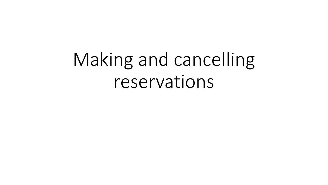# Making and cancelling reservations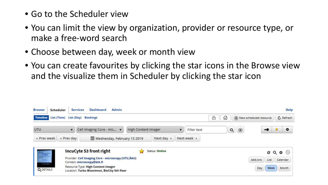- Go to the Scheduler view
- You can limit the view by organization, provider or resource type, or make a free-word search
- Choose between day, week or month view
- You can create favourites by clicking the star icons in the Browse view and the visualize them in Scheduler by clicking the star icon

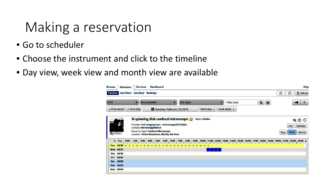## Making a reservation

- Go to scheduler
- Choose the instrument and click to the timeline
- Day view, week view and month view are available

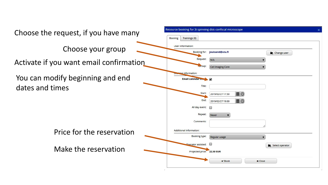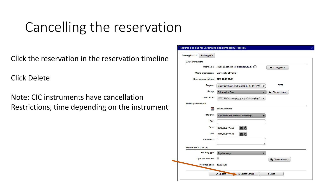## Cancelling the reservation

Click the reservation in the reservation timeline

Click Delete

Note: CIC instruments have cancellation Restrictions, time depending on the instrument

| <b>Booking Record</b>       | Trainings (0)              |                                                 |                     |
|-----------------------------|----------------------------|-------------------------------------------------|---------------------|
| User information:           |                            |                                                 |                     |
|                             |                            | User name: Jouko Sandholm (jouksand@utu.fi) (1) | Change user         |
|                             | User's organization:       | <b>University of Turku</b>                      |                     |
|                             |                            | Reservation made on: 2019-02-27 15:24           |                     |
|                             | Request:                   | Jouko Sandholm (jouksand@utu.fi) - ID: 5775     | 5775                |
|                             | Group:                     | <b>Cell Imaging Core</b>                        | <b>Change group</b> |
|                             | Cost center:               | 2609250 (Cell Imaging, group: Cell Imaging C ▼  |                     |
| <b>Booking information:</b> |                            |                                                 |                     |
|                             | 曲                          | <b>Add to calendar</b>                          |                     |
|                             | Resource:                  | 3i spinning disk confocal microscope            |                     |
|                             | Title:                     |                                                 |                     |
|                             | Start:                     | ■⊙<br>2019/02/27 17:30                          |                     |
|                             | End:                       | 2019/02/27 19:00<br>■⊙                          |                     |
|                             | Comments:                  |                                                 |                     |
| Additional information:     |                            |                                                 |                     |
|                             | <b>Booking type:</b>       | <b>Regular usage</b>                            |                     |
|                             | Operator assisted:         | œ                                               | Select operator     |
|                             | Projected price: 22.50 EUR |                                                 |                     |
|                             |                            | ✔ Update<br><b>自 Delete/Cancel</b>              | <b>x</b> Close      |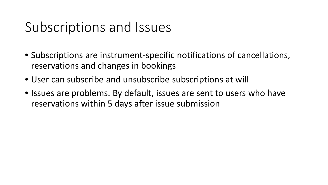## Subscriptions and Issues

- Subscriptions are instrument-specific notifications of cancellations, reservations and changes in bookings
- User can subscribe and unsubscribe subscriptions at will
- Issues are problems. By default, issues are sent to users who have reservations within 5 days after issue submission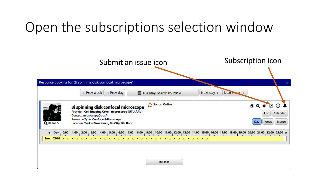## Open the subscriptions selection window



**x** Close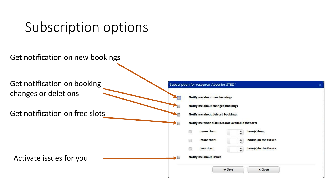## Subscription options